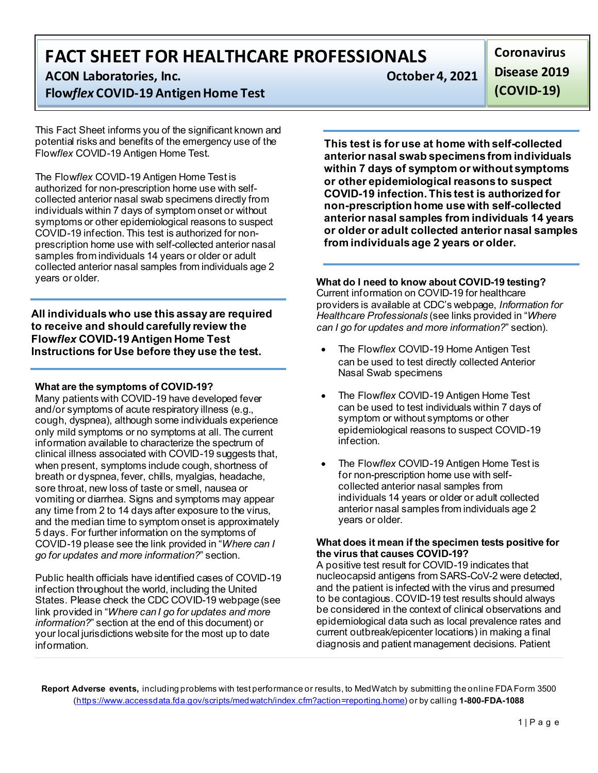**FACT SHEET FOR HEALTHCARE PROFESSIONALS**

**ACON Laboratories, Inc. CON Laboratories, Inc. CON** 

# **Flow***flex* **COVID-19 Antigen Home Test**

This Fact Sheet informs you of the significant known and potential risks and benefits of the emergency use of the Flow*flex* COVID-19 Antigen Home Test.

The Flow*flex* COVID-19 Antigen Home Test is authorized for non-prescription home use with selfcollected anterior nasal swab specimens directly from individuals within 7 days of symptom onset or without symptoms or other epidemiological reasons to suspect COVID-19 infection. This test is authorized for nonprescription home use with self-collected anterior nasal samples from individuals 14 years or older or adult collected anterior nasal samples from individuals age 2 years or older.

**All individuals who use this assay are required to receive and should carefully review the Flow***flex* **COVID-19 Antigen Home Test Instructions for Use before they use the test.**

# **What are the symptoms of COVID-19?**

Many patients with COVID-19 have developed fever and/or symptoms of acute respiratory illness (e.g., cough, dyspnea), although some individuals experience only mild symptoms or no symptoms at all. The current information available to characterize the spectrum of clinical illness associated with COVID-19 suggests that, when present, symptoms include cough, shortness of breath or dyspnea, fever, chills, myalgias, headache, sore throat, new loss of taste or smell, nausea or vomiting or diarrhea. Signs and symptoms may appear any time from 2 to 14 days after exposure to the virus, and the median time to symptom onset is approximately 5 days. For further information on the symptoms of COVID-19 please see the link provided in "*Where can I go for updates and more information?*" section.

Public health officials have identified cases of COVID-19 infection throughout the world, including the United States. Please check the CDC COVID-19 webpage (see link provided in "*Where can I go for updates and more information?*" section at the end of this document) or your local jurisdictions website for the most up to date information.

**Coronavirus Disease 2019 (COVID-19)**

**This test is for use at home with self-collected anterior nasal swab specimens from individuals within 7 days of symptom or without symptoms or other epidemiological reasons to suspect COVID-19 infection. This test is authorized for non-prescription home use with self-collected anterior nasal samples from individuals 14 years or older or adult collected anterior nasal samples from individuals age 2 years or older.**

# **What do I need to know about COVID-19 testing?**

Current information on COVID-19 for healthcare providers is available at CDC's webpage, *Information for Healthcare Professionals* (see links provided in "*Where can I go for updates and more information?*" section).

- The Flow*flex* COVID-19 Home Antigen Test can be used to test directly collected Anterior Nasal Swab specimens
- The Flow*flex* COVID-19 Antigen Home Test can be used to test individuals within 7 days of symptom or without symptoms or other epidemiological reasons to suspect COVID-19 infection.
- The Flow*flex* COVID-19 Antigen Home Test is for non-prescription home use with selfcollected anterior nasal samples from individuals 14 years or older or adult collected anterior nasal samples from individuals age 2 years or older.

### **What does it mean if the specimen tests positive for the virus that causes COVID-19?**

A positive test result for COVID-19 indicates that nucleocapsid antigens from SARS-CoV-2 were detected, and the patient is infected with the virus and presumed to be contagious. COVID-19 test results should always be considered in the context of clinical observations and epidemiological data such as local prevalence rates and current outbreak/epicenter locations) in making a final diagnosis and patient management decisions. Patient

**Report Adverse events,** including problems with test performance or results, to MedWatch by submitting the online FDA Form 3500 [\(https://www.accessdata.fda.gov/scripts/medwatch/index.cfm?action=reporting.home\)](https://www.accessdata.fda.gov/scripts/medwatch/index.cfm?action=reporting.home) or by calling **1-800-FDA-1088**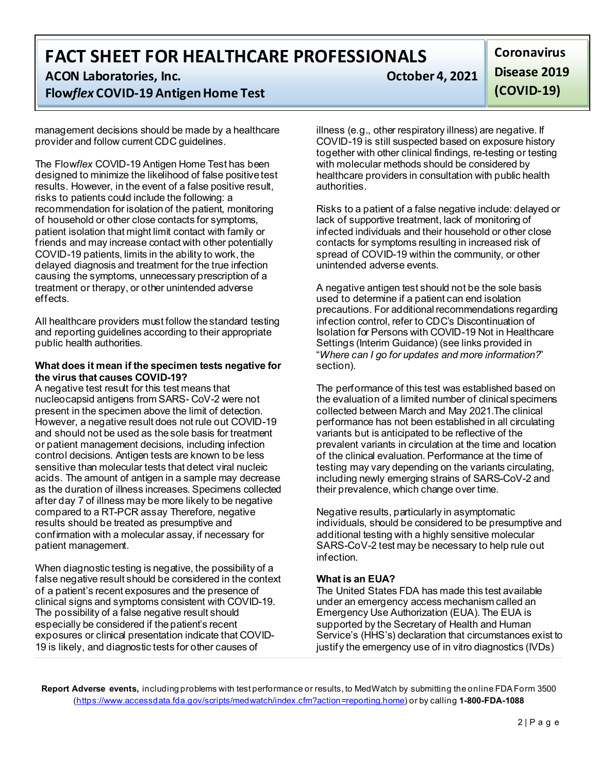**FACT SHEET FOR HEALTHCARE PROFESSIONALS**

**ACON Laboratories, Inc. CON Laboratories, Inc. CON** 

# **Flow***flex* **COVID-19 Antigen Home Test**

management decisions should be made by a healthcare provider and follow current CDC guidelines.

The Flow*flex* COVID-19 Antigen Home Test has been designed to minimize the likelihood of false positive test results. However, in the event of a false positive result, risks to patients could include the following: a recommendation for isolation of the patient, monitoring of household or other close contacts for symptoms, patient isolation that might limit contact with family or friends and may increase contact with other potentially COVID-19 patients, limits in the ability to work, the delayed diagnosis and treatment for the true infection causing the symptoms, unnecessary prescription of a treatment or therapy, or other unintended adverse effects.

All healthcare providers must follow the standard testing and reporting guidelines according to their appropriate public health authorities.

#### **What does it mean if the specimen tests negative for the virus that causes COVID-19?**

A negative test result for this test means that nucleocapsid antigens from SARS- CoV-2 were not present in the specimen above the limit of detection. However, a negative result does not rule out COVID-19 and should not be used as the sole basis for treatment or patient management decisions, including infection control decisions. Antigen tests are known to be less sensitive than molecular tests that detect viral nucleic acids. The amount of antigen in a sample may decrease as the duration of illness increases. Specimens collected after day 7 of illness may be more likely to be negative compared to a RT-PCR assay Therefore, negative results should be treated as presumptive and confirmation with a molecular assay, if necessary for patient management.

When diagnostic testing is negative, the possibility of a false negative result should be considered in the context of a patient's recent exposures and the presence of clinical signs and symptoms consistent with COVID-19. The possibility of a false negative result should especially be considered if the patient's recent exposures or clinical presentation indicate that COVID-19 is likely, and diagnostic tests for other causes of

**Coronavirus Disease 2019 (COVID-19)**

illness (e.g., other respiratory illness) are negative. If COVID-19 is still suspected based on exposure history together with other clinical findings, re-testing or testing with molecular methods should be considered by healthcare providers in consultation with public health authorities.

Risks to a patient of a false negative include: delayed or lack of supportive treatment, lack of monitoring of infected individuals and their household or other close contacts for symptoms resulting in increased risk of spread of COVID-19 within the community, or other unintended adverse events.

A negative antigen test should not be the sole basis used to determine if a patient can end isolation precautions. For additional recommendations regarding infection control, refer to CDC's Discontinuation of Isolation for Persons with COVID-19 Not in Healthcare Settings (Interim Guidance) (see links provided in "*Where can I go for updates and more information?*" section).

The performance of this test was established based on the evaluation of a limited number of clinical specimens collected between March and May 2021.The clinical performance has not been established in all circulating variants but is anticipated to be reflective of the prevalent variants in circulation at the time and location of the clinical evaluation. Performance at the time of testing may vary depending on the variants circulating, including newly emerging strains of SARS-CoV-2 and their prevalence, which change over time.

Negative results, particularly in asymptomatic individuals, should be considered to be presumptive and additional testing with a highly sensitive molecular SARS-CoV-2 test may be necessary to help rule out infection.

## **What is an EUA?**

The United States FDA has made this test available under an emergency access mechanism called an Emergency Use Authorization (EUA). The EUA is supported by the Secretary of Health and Human Service's (HHS's) declaration that circumstances exist to justify the emergency use of in vitro diagnostics (IVDs)

**Report Adverse events,** including problems with test performance or results, to MedWatch by submitting the online FDA Form 3500 [\(https://www.accessdata.fda.gov/scripts/medwatch/index.cfm?action=reporting.home\)](https://www.accessdata.fda.gov/scripts/medwatch/index.cfm?action=reporting.home) or by calling **1-800-FDA-1088**